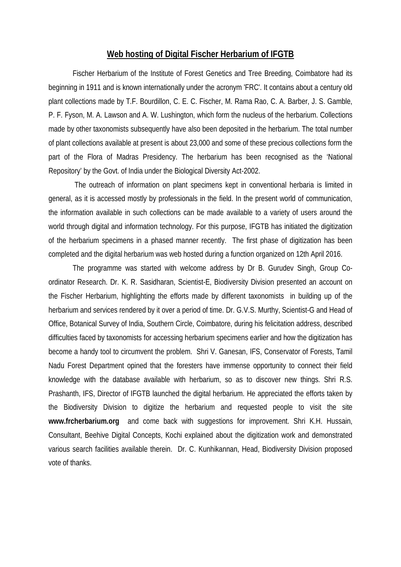## **Web hosting of Digital Fischer Herbarium of IFGTB**

Fischer Herbarium of the Institute of Forest Genetics and Tree Breeding, Coimbatore had its beginning in 1911 and is known internationally under the acronym 'FRC'. It contains about a century old plant collections made by T.F. Bourdillon, C. E. C. Fischer, M. Rama Rao, C. A. Barber, J. S. Gamble, P. F. Fyson, M. A. Lawson and A. W. Lushington, which form the nucleus of the herbarium. Collections made by other taxonomists subsequently have also been deposited in the herbarium. The total number of plant collections available at present is about 23,000 and some of these precious collections form the part of the Flora of Madras Presidency. The herbarium has been recognised as the 'National Repository' by the Govt. of India under the Biological Diversity Act-2002.

The outreach of information on plant specimens kept in conventional herbaria is limited in general, as it is accessed mostly by professionals in the field. In the present world of communication, the information available in such collections can be made available to a variety of users around the world through digital and information technology. For this purpose, IFGTB has initiated the digitization of the herbarium specimens in a phased manner recently. The first phase of digitization has been completed and the digital herbarium was web hosted during a function organized on 12th April 2016.

The programme was started with welcome address by Dr B. Gurudev Singh, Group Coordinator Research. Dr. K. R. Sasidharan, Scientist-E, Biodiversity Division presented an account on the Fischer Herbarium, highlighting the efforts made by different taxonomists in building up of the herbarium and services rendered by it over a period of time. Dr. G.V.S. Murthy, Scientist-G and Head of Office, Botanical Survey of India, Southern Circle, Coimbatore, during his felicitation address, described difficulties faced by taxonomists for accessing herbarium specimens earlier and how the digitization has become a handy tool to circumvent the problem. Shri V. Ganesan, IFS, Conservator of Forests, Tamil Nadu Forest Department opined that the foresters have immense opportunity to connect their field knowledge with the database available with herbarium, so as to discover new things. Shri R.S. Prashanth, IFS, Director of IFGTB launched the digital herbarium. He appreciated the efforts taken by the Biodiversity Division to digitize the herbarium and requested people to visit the site **[www.frcherbarium.org](http://www.frcherbarium.org/)** and come back with suggestions for improvement. Shri K.H. Hussain, Consultant, Beehive Digital Concepts, Kochi explained about the digitization work and demonstrated various search facilities available therein. Dr. C. Kunhikannan, Head, Biodiversity Division proposed vote of thanks.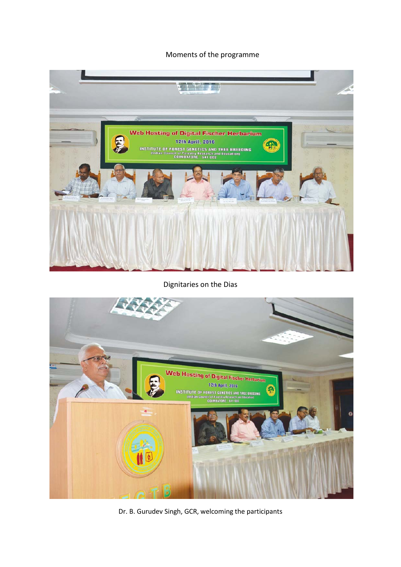Moments of the programme



Dignitaries on the Dias



Dr. B. Gurudev Singh, GCR, welcoming the participants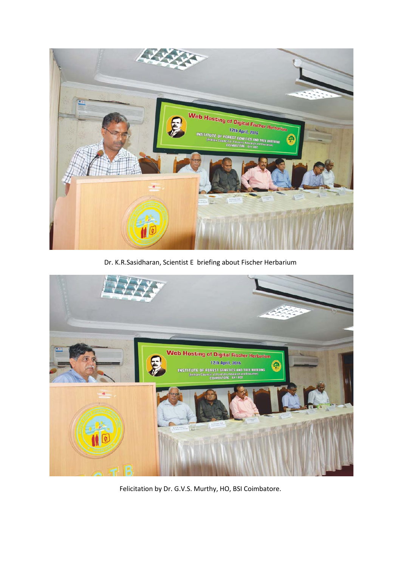

Dr. K.R.Sasidharan, Scientist E briefing about Fischer Herbarium



Felicitation by Dr. G.V.S. Murthy, HO, BSI Coimbatore.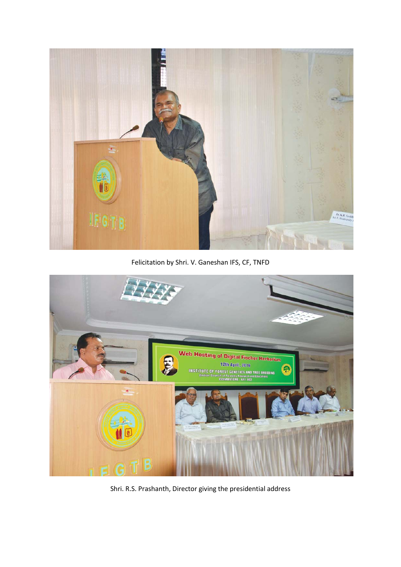

Felicitation by Shri. V. Ganeshan IFS, CF, TNFD



Shri. R.S. Prashanth, Director giving the presidential address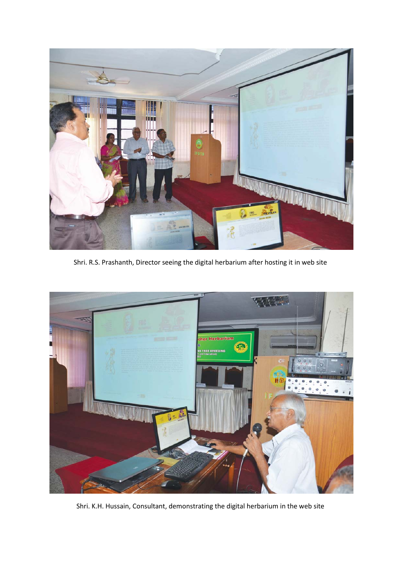

Shri. R.S. Prashanth, Director seeing the digital herbarium after hosting it in web site



Shri. K.H. Hussain, Consultant, demonstrating the digital herbarium in the web site